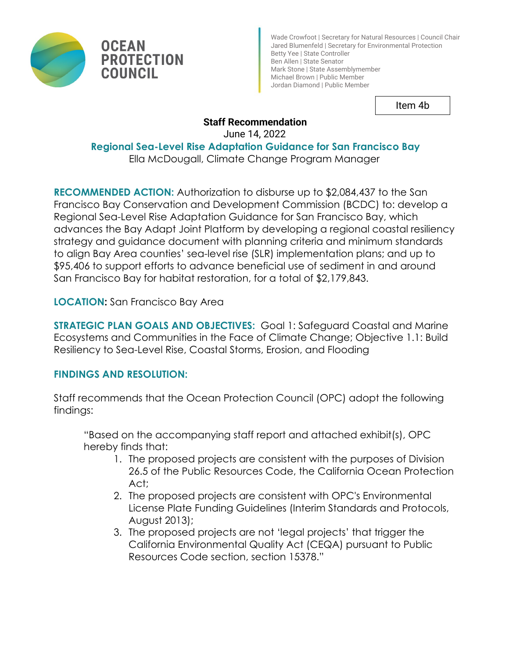

**PROTECTION** 

Wade Crowfoot | Secretary for Natural Resources | Council Chair Jared Blumenfeld | Secretary for Environmental Protection Betty Yee | State Controller Ben Allen | State Senator Mark Stone | State Assemblymember Michael Brown | Public Member Jordan Diamond | Public Member

Item 4b

# **Staff Recommendation**

June 14, 2022

**Regional Sea-Level Rise Adaptation Guidance for San Francisco Bay**

Ella McDougall, Climate Change Program Manager

**RECOMMENDED ACTION:** Authorization to disburse up to \$2,084,437 to the San Francisco Bay Conservation and Development Commission (BCDC) to: develop a Regional Sea-Level Rise Adaptation Guidance for San Francisco Bay, which advances the Bay Adapt Joint Platform by developing a regional coastal resiliency strategy and guidance document with planning criteria and minimum standards to align Bay Area counties' sea-level rise (SLR) implementation plans; and up to \$95,406 to support efforts to advance beneficial use of sediment in and around San Francisco Bay for habitat restoration, for a total of \$2,179,843.

**LOCATION:** San Francisco Bay Area

**OCEAN** 

**COUNCIL** 

**STRATEGIC PLAN GOALS AND OBJECTIVES: Goal 1: Safeguard Coastal and Marine** Ecosystems and Communities in the Face of Climate Change; Objective 1.1: Build Resiliency to Sea-Level Rise, Coastal Storms, Erosion, and Flooding

# **FINDINGS AND RESOLUTION:**

Staff recommends that the Ocean Protection Council (OPC) adopt the following findings:

"Based on the accompanying staff report and attached exhibit(s), OPC hereby finds that:

- 1. The proposed projects are consistent with the purposes of Division 26.5 of the Public Resources Code, the California Ocean Protection Act;
- 2. The proposed projects are consistent with OPC's Environmental License Plate Funding Guidelines (Interim Standards and Protocols, August 2013);
- 3. The proposed projects are not 'legal projects' that trigger the California Environmental Quality Act (CEQA) pursuant to Public Resources Code section, section 15378."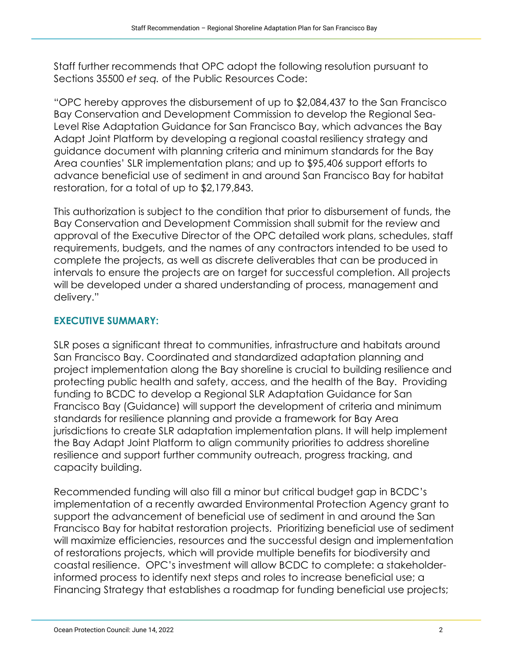Staff further recommends that OPC adopt the following resolution pursuant to Sections 35500 *et seq.* of the Public Resources Code:

"OPC hereby approves the disbursement of up to \$2,084,437 to the San Francisco Bay Conservation and Development Commission to develop the Regional Sea-Level Rise Adaptation Guidance for San Francisco Bay, which advances the Bay Adapt Joint Platform by developing a regional coastal resiliency strategy and guidance document with planning criteria and minimum standards for the Bay Area counties' SLR implementation plans; and up to \$95,406 support efforts to advance beneficial use of sediment in and around San Francisco Bay for habitat restoration, for a total of up to \$2,179,843.

This authorization is subject to the condition that prior to disbursement of funds, the Bay Conservation and Development Commission shall submit for the review and approval of the Executive Director of the OPC detailed work plans, schedules, staff requirements, budgets, and the names of any contractors intended to be used to complete the projects, as well as discrete deliverables that can be produced in intervals to ensure the projects are on target for successful completion. All projects will be developed under a shared understanding of process, management and delivery."

# **EXECUTIVE SUMMARY:**

SLR poses a significant threat to communities, infrastructure and habitats around San Francisco Bay. Coordinated and standardized adaptation planning and project implementation along the Bay shoreline is crucial to building resilience and protecting public health and safety, access, and the health of the Bay. Providing funding to BCDC to develop a Regional SLR Adaptation Guidance for San Francisco Bay (Guidance) will support the development of criteria and minimum standards for resilience planning and provide a framework for Bay Area jurisdictions to create SLR adaptation implementation plans. It will help implement the Bay Adapt Joint Platform to align community priorities to address shoreline resilience and support further community outreach, progress tracking, and capacity building.

Recommended funding will also fill a minor but critical budget gap in BCDC's implementation of a recently awarded Environmental Protection Agency grant to support the advancement of beneficial use of sediment in and around the San Francisco Bay for habitat restoration projects. Prioritizing beneficial use of sediment will maximize efficiencies, resources and the successful design and implementation of restorations projects, which will provide multiple benefits for biodiversity and coastal resilience. OPC's investment will allow BCDC to complete: a stakeholderinformed process to identify next steps and roles to increase beneficial use; a Financing Strategy that establishes a roadmap for funding beneficial use projects;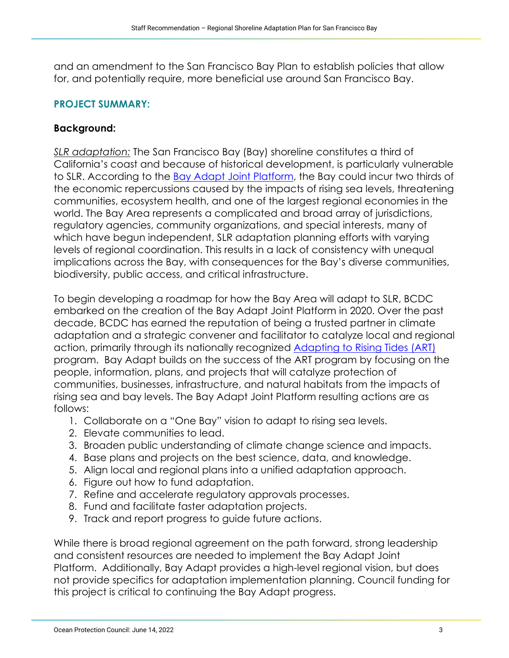and an amendment to the San Francisco Bay Plan to establish policies that allow for, and potentially require, more beneficial use around San Francisco Bay.

## **PROJECT SUMMARY:**

# **Background:**

*SLR adaptation:* The San Francisco Bay (Bay) shoreline constitutes a third of California's coast and because of historical development, is particularly vulnerable to SLR. According to the [Bay Adapt Joint Platform,](https://www.bayadapt.org/wp-content/uploads/2021/06/2-BayAdapt_Joint-Platform-2.0_DRAFT-FOR-LAG_ADA.pdf) the Bay could incur two thirds of the economic repercussions caused by the impacts of rising sea levels, threatening communities, ecosystem health, and one of the largest regional economies in the world. The Bay Area represents a complicated and broad array of jurisdictions, regulatory agencies, community organizations, and special interests, many of which have begun independent, SLR adaptation planning efforts with varying levels of regional coordination. This results in a lack of consistency with unequal implications across the Bay, with consequences for the Bay's diverse communities, biodiversity, public access, and critical infrastructure.

To begin developing a roadmap for how the Bay Area will adapt to SLR, BCDC embarked on the creation of the Bay Adapt Joint Platform in 2020. Over the past decade, BCDC has earned the reputation of being a trusted partner in climate adaptation and a strategic convener and facilitator to catalyze local and regional action, primarily through its nationally recognized [Adapting to Rising Tides \(ART\)](http://www.adaptingtorisingtides.org/) program. Bay Adapt builds on the success of the ART program by focusing on the people, information, plans, and projects that will catalyze protection of communities, businesses, infrastructure, and natural habitats from the impacts of rising sea and bay levels. The Bay Adapt Joint Platform resulting actions are as follows:

- 1. Collaborate on a "One Bay" vision to adapt to rising sea levels.
- 2. Elevate communities to lead.
- 3. Broaden public understanding of climate change science and impacts.
- 4. Base plans and projects on the best science, data, and knowledge.
- 5. Align local and regional plans into a unified adaptation approach.
- 6. Figure out how to fund adaptation.
- 7. Refine and accelerate regulatory approvals processes.
- 8. Fund and facilitate faster adaptation projects.
- 9. Track and report progress to guide future actions.

While there is broad regional agreement on the path forward, strong leadership and consistent resources are needed to implement the Bay Adapt Joint Platform. Additionally, Bay Adapt provides a high-level regional vision, but does not provide specifics for adaptation implementation planning. Council funding for this project is critical to continuing the Bay Adapt progress.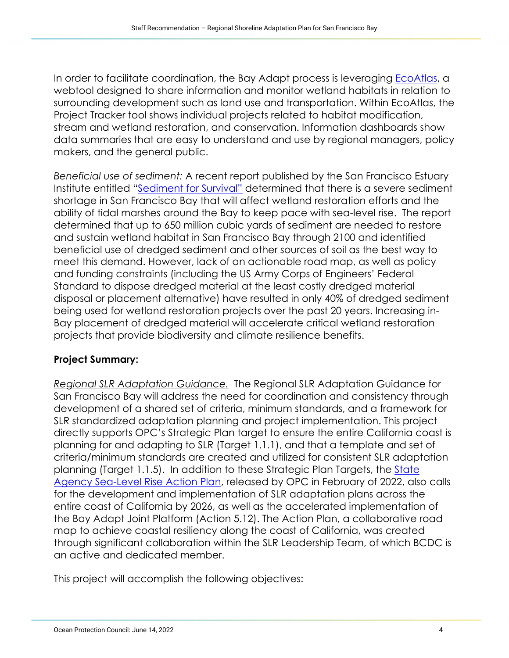In order to facilitate coordination, the Bay Adapt process is leveraging [EcoAtlas,](https://www.ecoatlas.org/) a webtool designed to share information and monitor wetland habitats in relation to surrounding development such as land use and transportation. Within EcoAtlas, the Project Tracker tool shows individual projects related to habitat modification, stream and wetland restoration, and conservation. Information dashboards show data summaries that are easy to understand and use by regional managers, policy makers, and the general public.

*Beneficial use of sediment:* A recent report published by the San Francisco Estuary Institute entitled ["Sediment for Survival"](https://www.sfei.org/sites/default/files/biblio_files/Sediment%20for%20Survival%20042121%20med%20res.pdf) determined that there is a severe sediment shortage in San Francisco Bay that will affect wetland restoration efforts and the ability of tidal marshes around the Bay to keep pace with sea-level rise. The report determined that up to 650 million cubic yards of sediment are needed to restore and sustain wetland habitat in San Francisco Bay through 2100 and identified beneficial use of dredged sediment and other sources of soil as the best way to meet this demand. However, lack of an actionable road map, as well as policy and funding constraints (including the US Army Corps of Engineers' Federal Standard to dispose dredged material at the least costly dredged material disposal or placement alternative) have resulted in only 40% of dredged sediment being used for wetland restoration projects over the past 20 years. Increasing in-Bay placement of dredged material will accelerate critical wetland restoration projects that provide biodiversity and climate resilience benefits.

# **Project Summary:**

*Regional SLR Adaptation Guidance.* The Regional SLR Adaptation Guidance for San Francisco Bay will address the need for coordination and consistency through development of a shared set of criteria, minimum standards, and a framework for SLR standardized adaptation planning and project implementation. This project directly supports OPC's Strategic Plan target to ensure the entire California coast is planning for and adapting to SLR (Target 1.1.1), and that a template and set of criteria/minimum standards are created and utilized for consistent SLR adaptation planning (Target 1.1.5). In addition to these Strategic Plan Targets, the [State](https://www.opc.ca.gov/webmaster/_media_library/2022/02/Item-7_Exhibit-A_SLR-Action-Plan-Final.pdf)  [Agency Sea-Level Rise Action Plan,](https://www.opc.ca.gov/webmaster/_media_library/2022/02/Item-7_Exhibit-A_SLR-Action-Plan-Final.pdf) released by OPC in February of 2022, also calls for the development and implementation of SLR adaptation plans across the entire coast of California by 2026, as well as the accelerated implementation of the Bay Adapt Joint Platform (Action 5.12). The Action Plan, a collaborative road map to achieve coastal resiliency along the coast of California, was created through significant collaboration within the SLR Leadership Team, of which BCDC is an active and dedicated member.

This project will accomplish the following objectives: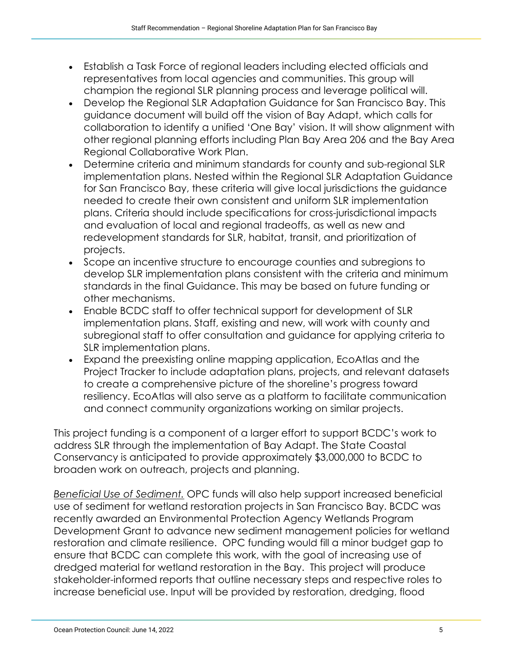- Establish a Task Force of regional leaders including elected officials and representatives from local agencies and communities. This group will champion the regional SLR planning process and leverage political will.
- Develop the Regional SLR Adaptation Guidance for San Francisco Bay. This guidance document will build off the vision of Bay Adapt, which calls for collaboration to identify a unified 'One Bay' vision. It will show alignment with other regional planning efforts including Plan Bay Area 206 and the Bay Area Regional Collaborative Work Plan.
- Determine criteria and minimum standards for county and sub-regional SLR implementation plans. Nested within the Regional SLR Adaptation Guidance for San Francisco Bay, these criteria will give local jurisdictions the guidance needed to create their own consistent and uniform SLR implementation plans. Criteria should include specifications for cross-jurisdictional impacts and evaluation of local and regional tradeoffs, as well as new and redevelopment standards for SLR, habitat, transit, and prioritization of projects.
- Scope an incentive structure to encourage counties and subregions to develop SLR implementation plans consistent with the criteria and minimum standards in the final Guidance. This may be based on future funding or other mechanisms.
- Enable BCDC staff to offer technical support for development of SLR implementation plans. Staff, existing and new, will work with county and subregional staff to offer consultation and guidance for applying criteria to SLR implementation plans.
- Expand the preexisting online mapping application, EcoAtlas and the Project Tracker to include adaptation plans, projects, and relevant datasets to create a comprehensive picture of the shoreline's progress toward resiliency. EcoAtlas will also serve as a platform to facilitate communication and connect community organizations working on similar projects.

This project funding is a component of a larger effort to support BCDC's work to address SLR through the implementation of Bay Adapt. The State Coastal Conservancy is anticipated to provide approximately \$3,000,000 to BCDC to broaden work on outreach, projects and planning.

*Beneficial Use of Sediment.* OPC funds will also help support increased beneficial use of sediment for wetland restoration projects in San Francisco Bay. BCDC was recently awarded an Environmental Protection Agency Wetlands Program Development Grant to advance new sediment management policies for wetland restoration and climate resilience. OPC funding would fill a minor budget gap to ensure that BCDC can complete this work, with the goal of increasing use of dredged material for wetland restoration in the Bay. This project will produce stakeholder-informed reports that outline necessary steps and respective roles to increase beneficial use. Input will be provided by restoration, dredging, flood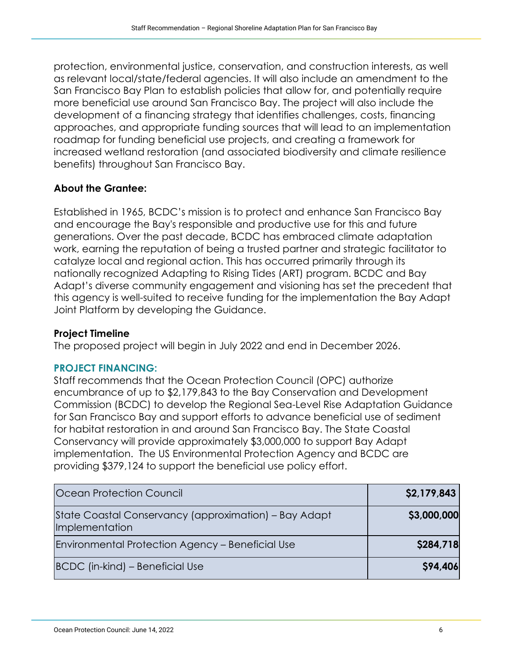protection, environmental justice, conservation, and construction interests, as well as relevant local/state/federal agencies. It will also include an amendment to the San Francisco Bay Plan to establish policies that allow for, and potentially require more beneficial use around San Francisco Bay. The project will also include the development of a financing strategy that identifies challenges, costs, financing approaches, and appropriate funding sources that will lead to an implementation roadmap for funding beneficial use projects, and creating a framework for increased wetland restoration (and associated biodiversity and climate resilience benefits) throughout San Francisco Bay.

# **About the Grantee:**

Established in 1965, BCDC's mission is to protect and enhance San Francisco Bay and encourage the Bay's responsible and productive use for this and future generations. Over the past decade, BCDC has embraced climate adaptation work, earning the reputation of being a trusted partner and strategic facilitator to catalyze local and regional action. This has occurred primarily through its nationally recognized Adapting to Rising Tides (ART) program. BCDC and Bay Adapt's diverse community engagement and visioning has set the precedent that this agency is well-suited to receive funding for the implementation the Bay Adapt Joint Platform by developing the Guidance.

## **Project Timeline**

The proposed project will begin in July 2022 and end in December 2026.

#### **PROJECT FINANCING:**

Staff recommends that the Ocean Protection Council (OPC) authorize encumbrance of up to \$2,179,843 to the Bay Conservation and Development Commission (BCDC) to develop the Regional Sea-Level Rise Adaptation Guidance for San Francisco Bay and support efforts to advance beneficial use of sediment for habitat restoration in and around San Francisco Bay. The State Coastal Conservancy will provide approximately \$3,000,000 to support Bay Adapt implementation. The US Environmental Protection Agency and BCDC are providing \$379,124 to support the beneficial use policy effort.

| <b>Ocean Protection Council</b>                                         | \$2,179,843 |
|-------------------------------------------------------------------------|-------------|
| State Coastal Conservancy (approximation) – Bay Adapt<br>Implementation | \$3,000,000 |
| Environmental Protection Agency – Beneficial Use                        | \$284,718   |
| BCDC (in-kind) – Beneficial Use                                         | \$94,406    |